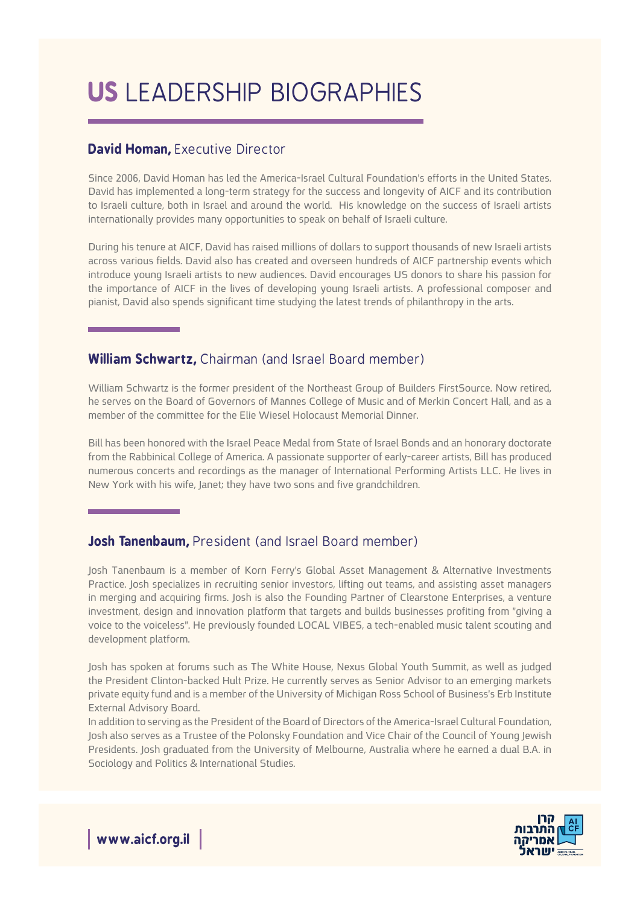# **US LEADERSHIP BIOGRAPHIES**

## David Homan, Executive Director

Since 2006. David Homan has led the America-Israel Cultural Foundation's efforts in the United States. David has implemented a long-term strategy for the success and longevity of AICF and its contribution to Israeli culture, both in Israel and around the world. His knowledge on the success of Israeli artists internationally provides many opportunities to speak on behalf of Israeli culture.

During his tenure at AICF, David has raised millions of dollars to support thousands of new Israeli artists across various fields. David also has created and overseen hundreds of AICF partnership events which introduce young Israeli artists to new audiences. David encourages US donors to share his passion for the importance of AICF in the lives of developing young Israeli artists. A professional composer and pianist. David also spends significant time studving the latest trends of philanthropy in the arts.

### **William Schwartz, Chairman (and Israel Board member)**

William Schwartz is the former president of the Northeast Group of Builders FirstSource. Now retired, he serves on the Board of Governors of Mannes College of Music and of Merkin Concert Hall, and as a member of the committee for the Elie Wiesel Holocaust Memorial Dinner.

Bill has been honored with the Israel Peace Medal from State of Israel Bonds and an honorary doctorate from the Rabbinical College of America. A passionate supporter of early-career artists, Bill has produced numerous concerts and recordings as the manager of International Performing Artists LLC. He lives in New York with his wife, Janet; they have two sons and five grandchildren.

## **Josh Tanenbaum, President (and Israel Board member)**

Josh Tanenbaum is a member of Korn Ferry's Global Asset Management & Alternative Investments Practice. Josh specializes in recruiting senior investors, lifting out teams, and assisting asset managers in merging and acquiring firms. Josh is also the Founding Partner of Clearstone Enterprises, a venture investment, design and innovation platform that targets and builds businesses profiting from "giving a voice to the voiceless". He previously founded LOCAL VIBES, a tech-enabled music talent scouting and development platform.

Josh has spoken at forums such as The White House, Nexus Global Youth Summit, as well as judged the President Clinton-backed Hult Prize. He currently serves as Senior Advisor to an emerging markets private equity fund and is a member of the University of Michigan Ross School of Business's Erb Institute External Advisory Board.

In addition to serving as the President of the Board of Directors of the America-Israel Cultural Foundation, Josh also serves as a Trustee of the Polonsky Foundation and Vice Chair of the Council of Young Jewish Presidents. Josh graduated from the University of Melbourne, Australia where he earned a dual B.A. in Sociology and Politics & International Studies.



**www.aicf.org.il**